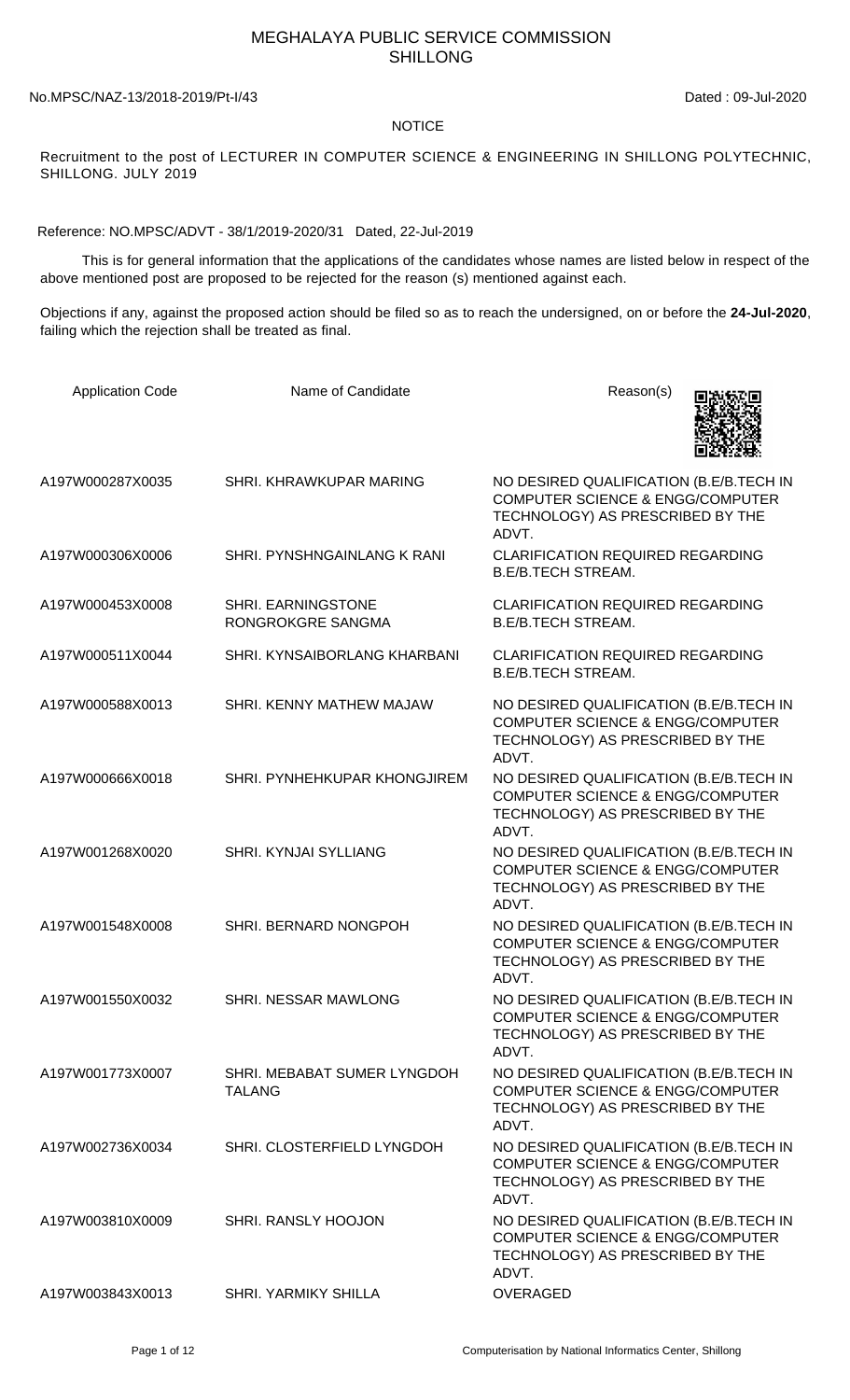## MEGHALAYA PUBLIC SERVICE COMMISSION SHILLONG

No.MPSC/NAZ-13/2018-2019/Pt-I/43 Dated : 09-Jul-2020

## NOTICE

Recruitment to the post of LECTURER IN COMPUTER SCIENCE & ENGINEERING IN SHILLONG POLYTECHNIC, SHILLONG. JULY 2019

Reference: NO.MPSC/ADVT - 38/1/2019-2020/31 Dated, 22-Jul-2019

 This is for general information that the applications of the candidates whose names are listed below in respect of the above mentioned post are proposed to be rejected for the reason (s) mentioned against each.

Objections if any, against the proposed action should be filed so as to reach the undersigned, on or before the **24-Jul-2020**, failing which the rejection shall be treated as final.

| <b>Application Code</b> | Name of Candidate                            | Reason(s)                                                                                                                           |
|-------------------------|----------------------------------------------|-------------------------------------------------------------------------------------------------------------------------------------|
| A197W000287X0035        | SHRI. KHRAWKUPAR MARING                      | NO DESIRED QUALIFICATION (B.E/B.TECH IN<br><b>COMPUTER SCIENCE &amp; ENGG/COMPUTER</b><br>TECHNOLOGY) AS PRESCRIBED BY THE<br>ADVT. |
| A197W000306X0006        | SHRI. PYNSHNGAINLANG K RANI                  | <b>CLARIFICATION REQUIRED REGARDING</b><br><b>B.E/B.TECH STREAM.</b>                                                                |
| A197W000453X0008        | SHRI. EARNINGSTONE<br>RONGROKGRE SANGMA      | <b>CLARIFICATION REQUIRED REGARDING</b><br><b>B.E/B.TECH STREAM.</b>                                                                |
| A197W000511X0044        | SHRI. KYNSAIBORLANG KHARBANI                 | CLARIFICATION REQUIRED REGARDING<br><b>B.E/B.TECH STREAM.</b>                                                                       |
| A197W000588X0013        | SHRI. KENNY MATHEW MAJAW                     | NO DESIRED QUALIFICATION (B.E/B.TECH IN<br><b>COMPUTER SCIENCE &amp; ENGG/COMPUTER</b><br>TECHNOLOGY) AS PRESCRIBED BY THE<br>ADVT. |
| A197W000666X0018        | SHRI. PYNHEHKUPAR KHONGJIREM                 | NO DESIRED QUALIFICATION (B.E/B.TECH IN<br><b>COMPUTER SCIENCE &amp; ENGG/COMPUTER</b><br>TECHNOLOGY) AS PRESCRIBED BY THE<br>ADVT. |
| A197W001268X0020        | SHRI. KYNJAI SYLLIANG                        | NO DESIRED QUALIFICATION (B.E/B.TECH IN<br><b>COMPUTER SCIENCE &amp; ENGG/COMPUTER</b><br>TECHNOLOGY) AS PRESCRIBED BY THE<br>ADVT. |
| A197W001548X0008        | SHRI. BERNARD NONGPOH                        | NO DESIRED QUALIFICATION (B.E/B.TECH IN<br><b>COMPUTER SCIENCE &amp; ENGG/COMPUTER</b><br>TECHNOLOGY) AS PRESCRIBED BY THE<br>ADVT. |
| A197W001550X0032        | SHRI. NESSAR MAWLONG                         | NO DESIRED QUALIFICATION (B.E/B.TECH IN<br><b>COMPUTER SCIENCE &amp; ENGG/COMPUTER</b><br>TECHNOLOGY) AS PRESCRIBED BY THE<br>ADVT. |
| A197W001773X0007        | SHRI. MEBABAT SUMER LYNGDOH<br><b>TALANG</b> | NO DESIRED QUALIFICATION (B.E/B.TECH IN<br><b>COMPUTER SCIENCE &amp; ENGG/COMPUTER</b><br>TECHNOLOGY) AS PRESCRIBED BY THE<br>ADVT. |
| A197W002736X0034        | SHRI. CLOSTERFIELD LYNGDOH                   | NO DESIRED QUALIFICATION (B.E/B.TECH IN<br><b>COMPUTER SCIENCE &amp; ENGG/COMPUTER</b><br>TECHNOLOGY) AS PRESCRIBED BY THE<br>ADVT. |
| A197W003810X0009        | SHRI. RANSLY HOOJON                          | NO DESIRED QUALIFICATION (B.E/B.TECH IN<br><b>COMPUTER SCIENCE &amp; ENGG/COMPUTER</b><br>TECHNOLOGY) AS PRESCRIBED BY THE<br>ADVT. |
| A197W003843X0013        | <b>SHRI. YARMIKY SHILLA</b>                  | OVERAGED                                                                                                                            |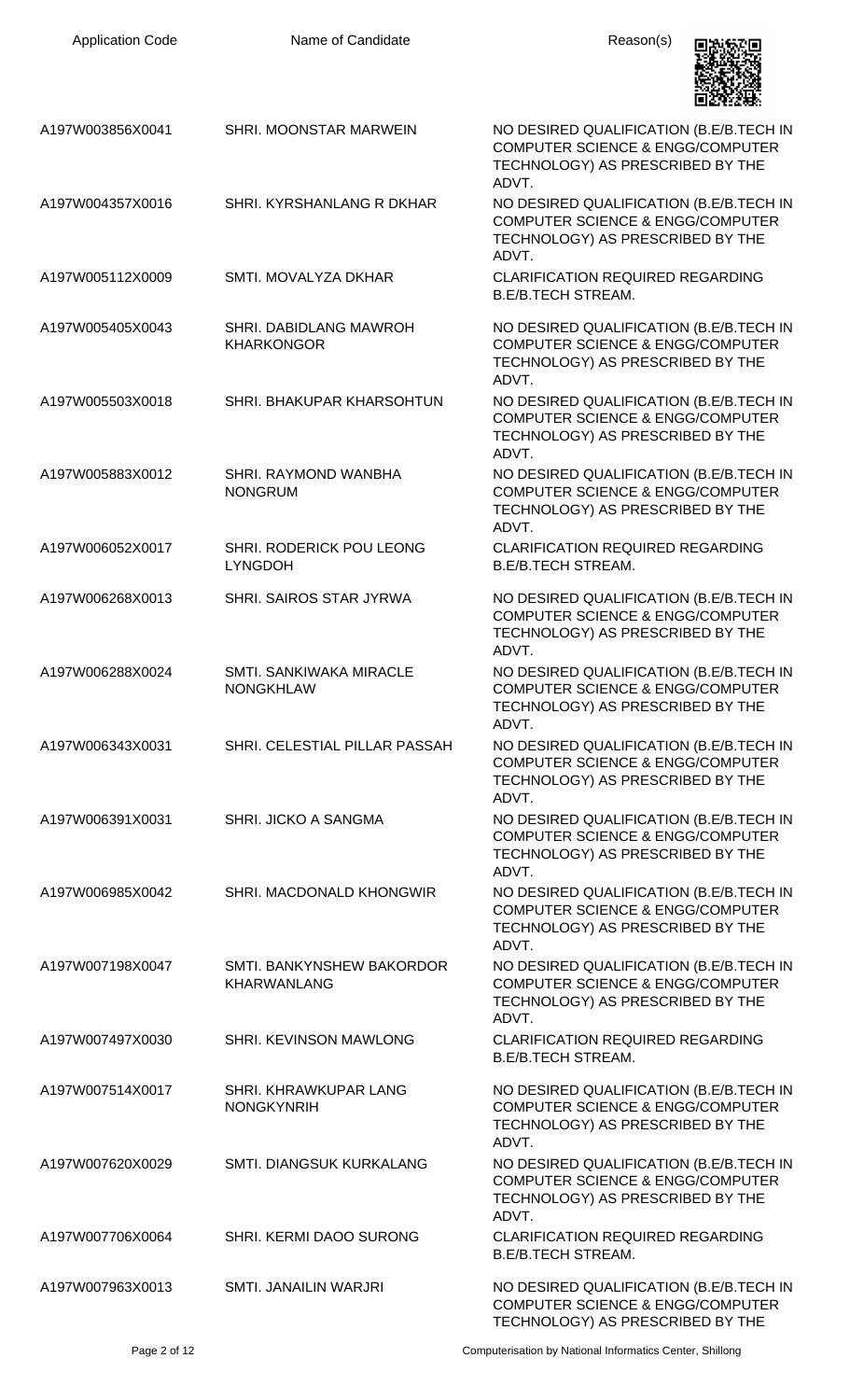| <b>Application Code</b> | Name of Candidate                                  | Reason(s)                                                                                                                           |
|-------------------------|----------------------------------------------------|-------------------------------------------------------------------------------------------------------------------------------------|
| A197W003856X0041        | SHRI. MOONSTAR MARWEIN                             | NO DESIRED QUALIFICATION (B.E/B.TECH IN<br><b>COMPUTER SCIENCE &amp; ENGG/COMPUTER</b><br>TECHNOLOGY) AS PRESCRIBED BY THE<br>ADVT. |
| A197W004357X0016        | SHRI. KYRSHANLANG R DKHAR                          | NO DESIRED QUALIFICATION (B.E/B.TECH IN<br><b>COMPUTER SCIENCE &amp; ENGG/COMPUTER</b><br>TECHNOLOGY) AS PRESCRIBED BY THE<br>ADVT. |
| A197W005112X0009        | SMTI. MOVALYZA DKHAR                               | <b>CLARIFICATION REQUIRED REGARDING</b><br><b>B.E/B.TECH STREAM.</b>                                                                |
| A197W005405X0043        | SHRI. DABIDLANG MAWROH<br><b>KHARKONGOR</b>        | NO DESIRED QUALIFICATION (B.E/B.TECH IN<br><b>COMPUTER SCIENCE &amp; ENGG/COMPUTER</b><br>TECHNOLOGY) AS PRESCRIBED BY THE<br>ADVT. |
| A197W005503X0018        | SHRI. BHAKUPAR KHARSOHTUN                          | NO DESIRED QUALIFICATION (B.E/B.TECH IN<br><b>COMPUTER SCIENCE &amp; ENGG/COMPUTER</b><br>TECHNOLOGY) AS PRESCRIBED BY THE<br>ADVT. |
| A197W005883X0012        | SHRI. RAYMOND WANBHA<br><b>NONGRUM</b>             | NO DESIRED QUALIFICATION (B.E/B.TECH IN<br><b>COMPUTER SCIENCE &amp; ENGG/COMPUTER</b><br>TECHNOLOGY) AS PRESCRIBED BY THE<br>ADVT. |
| A197W006052X0017        | SHRI. RODERICK POU LEONG<br><b>LYNGDOH</b>         | <b>CLARIFICATION REQUIRED REGARDING</b><br><b>B.E/B.TECH STREAM.</b>                                                                |
| A197W006268X0013        | SHRI. SAIROS STAR JYRWA                            | NO DESIRED QUALIFICATION (B.E/B.TECH IN<br><b>COMPUTER SCIENCE &amp; ENGG/COMPUTER</b><br>TECHNOLOGY) AS PRESCRIBED BY THE<br>ADVT  |
| A197W006288X0024        | <b>SMTI. SANKIWAKA MIRACLE</b><br><b>NONGKHLAW</b> | NO DESIRED QUALIFICATION (B.E/B.TECH IN<br><b>COMPUTER SCIENCE &amp; ENGG/COMPUTER</b><br>TECHNOLOGY) AS PRESCRIBED BY THE<br>ADVT. |
| A197W006343X0031        | SHRI. CELESTIAL PILLAR PASSAH                      | NO DESIRED QUALIFICATION (B.E/B.TECH IN<br><b>COMPUTER SCIENCE &amp; ENGG/COMPUTER</b><br>TECHNOLOGY) AS PRESCRIBED BY THE<br>ADVT. |
| A197W006391X0031        | SHRI. JICKO A SANGMA                               | NO DESIRED QUALIFICATION (B.E/B.TECH IN<br><b>COMPUTER SCIENCE &amp; ENGG/COMPUTER</b><br>TECHNOLOGY) AS PRESCRIBED BY THE<br>ADVT. |
| A197W006985X0042        | SHRI. MACDONALD KHONGWIR                           | NO DESIRED QUALIFICATION (B.E/B.TECH IN<br><b>COMPUTER SCIENCE &amp; ENGG/COMPUTER</b><br>TECHNOLOGY) AS PRESCRIBED BY THE<br>ADVT. |
| A197W007198X0047        | SMTI. BANKYNSHEW BAKORDOR<br><b>KHARWANLANG</b>    | NO DESIRED QUALIFICATION (B.E/B.TECH IN<br><b>COMPUTER SCIENCE &amp; ENGG/COMPUTER</b><br>TECHNOLOGY) AS PRESCRIBED BY THE<br>ADVT. |
| A197W007497X0030        | SHRI. KEVINSON MAWLONG                             | <b>CLARIFICATION REQUIRED REGARDING</b><br><b>B.E/B.TECH STREAM.</b>                                                                |
| A197W007514X0017        | SHRI. KHRAWKUPAR LANG<br><b>NONGKYNRIH</b>         | NO DESIRED QUALIFICATION (B.E/B.TECH IN<br><b>COMPUTER SCIENCE &amp; ENGG/COMPUTER</b><br>TECHNOLOGY) AS PRESCRIBED BY THE<br>ADVT. |
| A197W007620X0029        | SMTI. DIANGSUK KURKALANG                           | NO DESIRED QUALIFICATION (B.E/B.TECH IN<br><b>COMPUTER SCIENCE &amp; ENGG/COMPUTER</b><br>TECHNOLOGY) AS PRESCRIBED BY THE<br>ADVT. |
| A197W007706X0064        | SHRI. KERMI DAOO SURONG                            | <b>CLARIFICATION REQUIRED REGARDING</b><br><b>B.E/B.TECH STREAM.</b>                                                                |
| A197W007963X0013        | SMTI. JANAILIN WARJRI                              | NO DESIRED QUALIFICATION (B.E/B.TECH IN<br><b>COMPUTER SCIENCE &amp; ENGG/COMPUTER</b><br>TECHNOLOGY) AS PRESCRIBED BY THE          |

Page 2 of 12 **Page 2 of 12** Computerisation by National Informatics Center, Shillong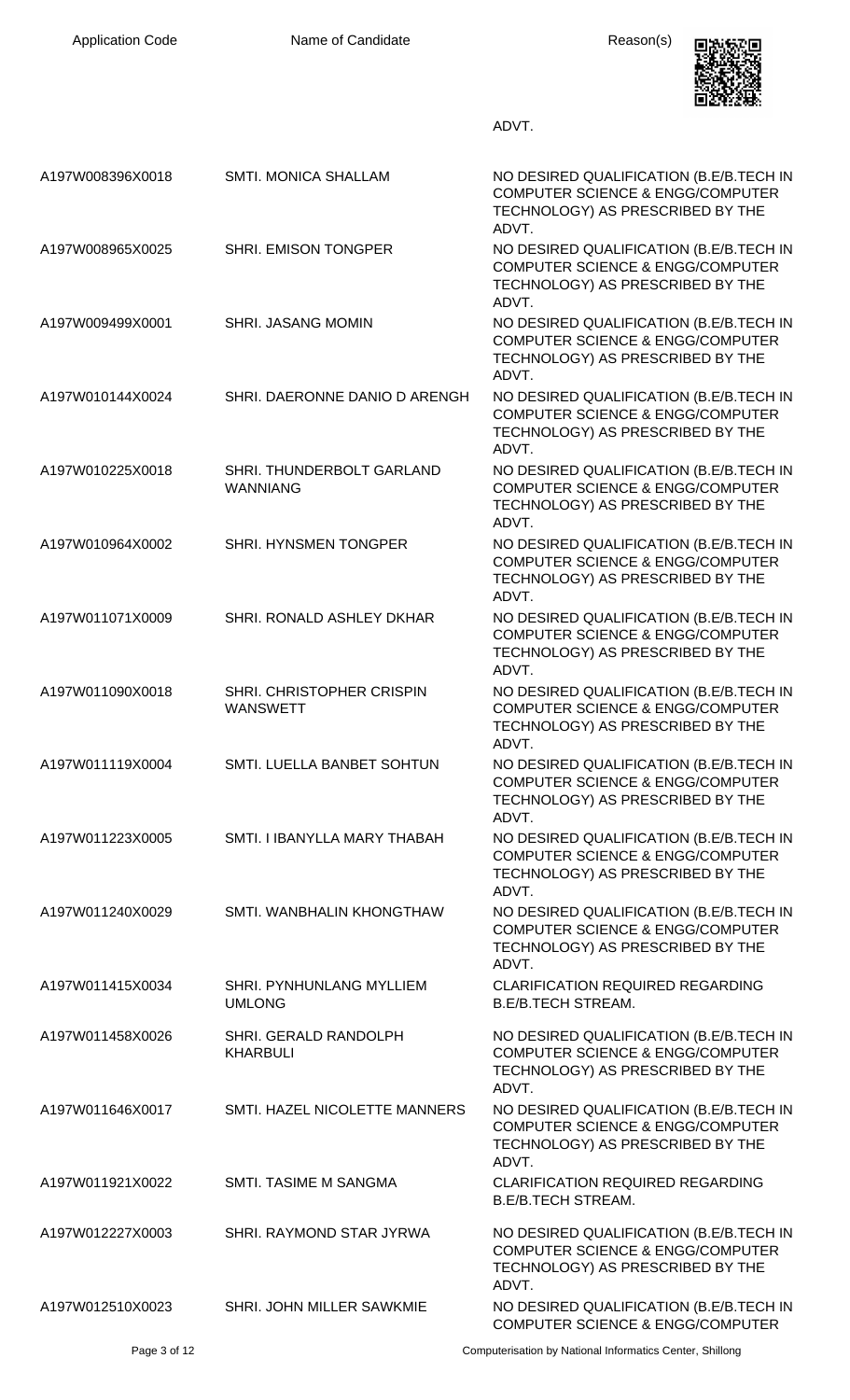| <b>Application Code</b> | Name of Candidate                            | Reason(s)                                                                                                                           |
|-------------------------|----------------------------------------------|-------------------------------------------------------------------------------------------------------------------------------------|
|                         |                                              | ADVT.                                                                                                                               |
| A197W008396X0018        | <b>SMTI. MONICA SHALLAM</b>                  | NO DESIRED QUALIFICATION (B.E/B.TECH IN<br><b>COMPUTER SCIENCE &amp; ENGG/COMPUTER</b><br>TECHNOLOGY) AS PRESCRIBED BY THE<br>ADVT. |
| A197W008965X0025        | SHRI. EMISON TONGPER                         | NO DESIRED QUALIFICATION (B.E/B.TECH IN<br><b>COMPUTER SCIENCE &amp; ENGG/COMPUTER</b><br>TECHNOLOGY) AS PRESCRIBED BY THE<br>ADVT. |
| A197W009499X0001        | <b>SHRI. JASANG MOMIN</b>                    | NO DESIRED QUALIFICATION (B.E/B.TECH IN<br><b>COMPUTER SCIENCE &amp; ENGG/COMPUTER</b><br>TECHNOLOGY) AS PRESCRIBED BY THE<br>ADVT. |
| A197W010144X0024        | SHRI. DAERONNE DANIO D ARENGH                | NO DESIRED QUALIFICATION (B.E/B.TECH IN<br><b>COMPUTER SCIENCE &amp; ENGG/COMPUTER</b><br>TECHNOLOGY) AS PRESCRIBED BY THE<br>ADVT. |
| A197W010225X0018        | SHRI. THUNDERBOLT GARLAND<br><b>WANNIANG</b> | NO DESIRED QUALIFICATION (B.E/B.TECH IN<br><b>COMPUTER SCIENCE &amp; ENGG/COMPUTER</b><br>TECHNOLOGY) AS PRESCRIBED BY THE<br>ADVT. |
| A197W010964X0002        | SHRI. HYNSMEN TONGPER                        | NO DESIRED QUALIFICATION (B.E/B.TECH IN<br><b>COMPUTER SCIENCE &amp; ENGG/COMPUTER</b><br>TECHNOLOGY) AS PRESCRIBED BY THE<br>ADVT. |
| A197W011071X0009        | SHRI. RONALD ASHLEY DKHAR                    | NO DESIRED QUALIFICATION (B.E/B.TECH IN<br><b>COMPUTER SCIENCE &amp; ENGG/COMPUTER</b><br>TECHNOLOGY) AS PRESCRIBED BY THE<br>ADVT. |
| A197W011090X0018        | SHRI. CHRISTOPHER CRISPIN<br><b>WANSWETT</b> | NO DESIRED QUALIFICATION (B.E/B.TECH IN<br><b>COMPUTER SCIENCE &amp; ENGG/COMPUTER</b><br>TECHNOLOGY) AS PRESCRIBED BY THE<br>ADVT. |
| A197W011119X0004        | SMTI. LUELLA BANBET SOHTUN                   | NO DESIRED QUALIFICATION (B.E/B.TECH IN<br><b>COMPUTER SCIENCE &amp; ENGG/COMPUTER</b><br>TECHNOLOGY) AS PRESCRIBED BY THE<br>ADVT. |
| A197W011223X0005        | SMTI. I IBANYLLA MARY THABAH                 | NO DESIRED QUALIFICATION (B.E/B.TECH IN<br><b>COMPUTER SCIENCE &amp; ENGG/COMPUTER</b><br>TECHNOLOGY) AS PRESCRIBED BY THE<br>ADVT. |
| A197W011240X0029        | SMTI. WANBHALIN KHONGTHAW                    | NO DESIRED QUALIFICATION (B.E/B.TECH IN<br><b>COMPUTER SCIENCE &amp; ENGG/COMPUTER</b><br>TECHNOLOGY) AS PRESCRIBED BY THE<br>ADVT. |
| A197W011415X0034        | SHRI. PYNHUNLANG MYLLIEM<br><b>UMLONG</b>    | <b>CLARIFICATION REQUIRED REGARDING</b><br><b>B.E/B.TECH STREAM.</b>                                                                |
| A197W011458X0026        | SHRI. GERALD RANDOLPH<br><b>KHARBULI</b>     | NO DESIRED QUALIFICATION (B.E/B.TECH IN<br><b>COMPUTER SCIENCE &amp; ENGG/COMPUTER</b><br>TECHNOLOGY) AS PRESCRIBED BY THE<br>ADVT. |
| A197W011646X0017        | SMTI. HAZEL NICOLETTE MANNERS                | NO DESIRED QUALIFICATION (B.E/B.TECH IN<br><b>COMPUTER SCIENCE &amp; ENGG/COMPUTER</b><br>TECHNOLOGY) AS PRESCRIBED BY THE<br>ADVT. |
| A197W011921X0022        | <b>SMTI. TASIME M SANGMA</b>                 | <b>CLARIFICATION REQUIRED REGARDING</b><br><b>B.E/B.TECH STREAM.</b>                                                                |
| A197W012227X0003        | SHRI. RAYMOND STAR JYRWA                     | NO DESIRED QUALIFICATION (B.E/B.TECH IN<br><b>COMPUTER SCIENCE &amp; ENGG/COMPUTER</b><br>TECHNOLOGY) AS PRESCRIBED BY THE<br>ADVT. |
| A197W012510X0023        | SHRI. JOHN MILLER SAWKMIE                    | NO DESIRED QUALIFICATION (B.E/B.TECH IN<br><b>COMPUTER SCIENCE &amp; ENGG/COMPUTER</b>                                              |

Page 3 of 12 **Computerisation by National Informatics Center, Shillong**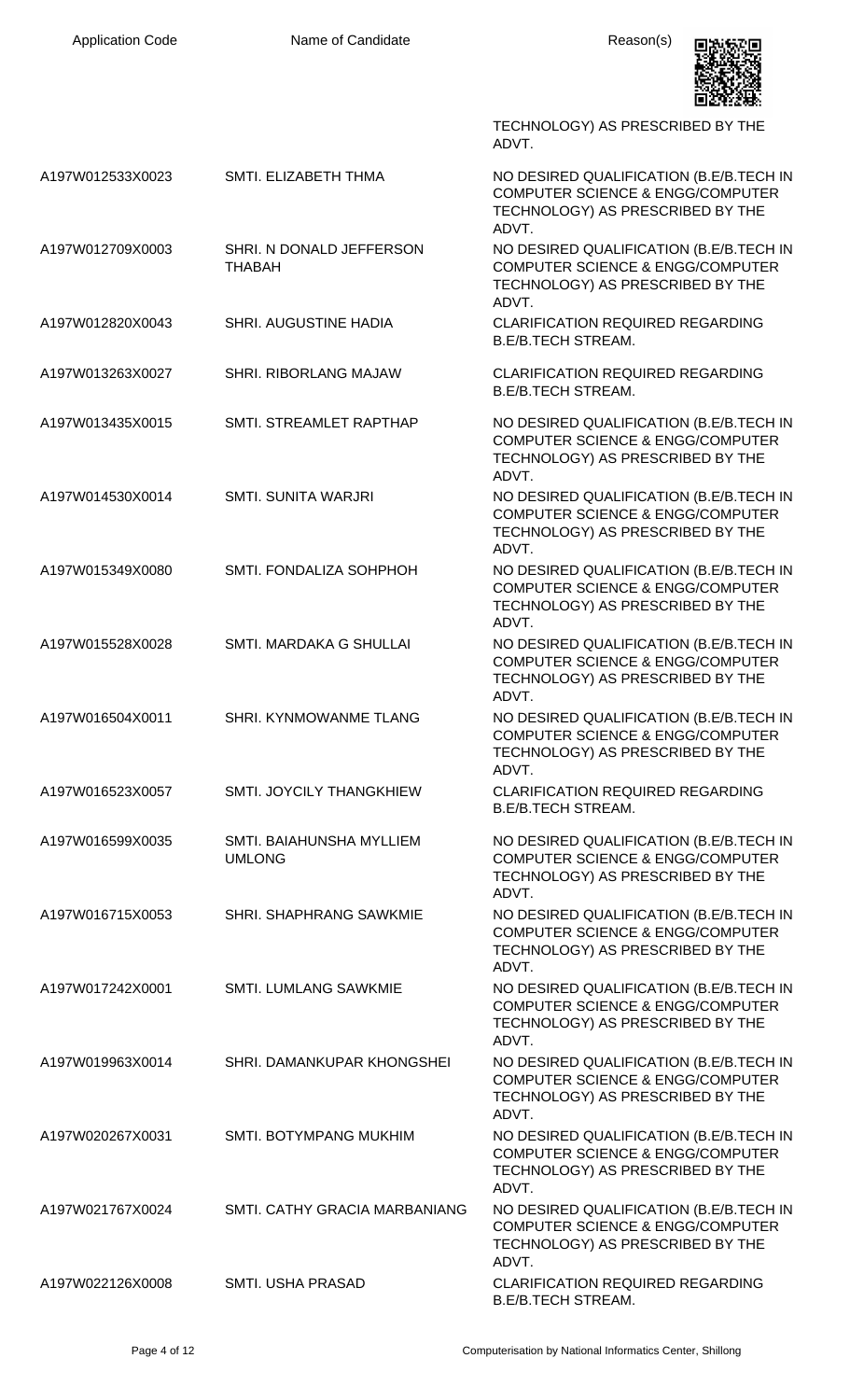|                  |                                           | TECHNOLOGY) AS PRESCRIBED BY THE<br>ADVT.                                                                                           |
|------------------|-------------------------------------------|-------------------------------------------------------------------------------------------------------------------------------------|
| A197W012533X0023 | SMTI. ELIZABETH THMA                      | NO DESIRED QUALIFICATION (B.E/B.TECH IN<br><b>COMPUTER SCIENCE &amp; ENGG/COMPUTER</b><br>TECHNOLOGY) AS PRESCRIBED BY THE<br>ADVT. |
| A197W012709X0003 | SHRI. N DONALD JEFFERSON<br><b>THABAH</b> | NO DESIRED QUALIFICATION (B.E/B.TECH IN<br><b>COMPUTER SCIENCE &amp; ENGG/COMPUTER</b><br>TECHNOLOGY) AS PRESCRIBED BY THE<br>ADVT. |
| A197W012820X0043 | SHRI. AUGUSTINE HADIA                     | <b>CLARIFICATION REQUIRED REGARDING</b><br><b>B.E/B.TECH STREAM.</b>                                                                |
| A197W013263X0027 | <b>SHRI. RIBORLANG MAJAW</b>              | <b>CLARIFICATION REQUIRED REGARDING</b><br><b>B.E/B.TECH STREAM.</b>                                                                |
| A197W013435X0015 | SMTI. STREAMLET RAPTHAP                   | NO DESIRED QUALIFICATION (B.E/B.TECH IN<br><b>COMPUTER SCIENCE &amp; ENGG/COMPUTER</b><br>TECHNOLOGY) AS PRESCRIBED BY THE<br>ADVT. |
| A197W014530X0014 | <b>SMTI. SUNITA WARJRI</b>                | NO DESIRED QUALIFICATION (B.E/B.TECH IN<br><b>COMPUTER SCIENCE &amp; ENGG/COMPUTER</b><br>TECHNOLOGY) AS PRESCRIBED BY THE<br>ADVT. |
| A197W015349X0080 | SMTI. FONDALIZA SOHPHOH                   | NO DESIRED QUALIFICATION (B.E/B.TECH IN<br><b>COMPUTER SCIENCE &amp; ENGG/COMPUTER</b><br>TECHNOLOGY) AS PRESCRIBED BY THE<br>ADVT. |
| A197W015528X0028 | SMTI. MARDAKA G SHULLAI                   | NO DESIRED QUALIFICATION (B.E/B.TECH IN<br><b>COMPUTER SCIENCE &amp; ENGG/COMPUTER</b><br>TECHNOLOGY) AS PRESCRIBED BY THE<br>ADVT. |
| A197W016504X0011 | SHRI. KYNMOWANME TLANG                    | NO DESIRED QUALIFICATION (B.E/B.TECH IN<br><b>COMPUTER SCIENCE &amp; ENGG/COMPUTER</b><br>TECHNOLOGY) AS PRESCRIBED BY THE<br>ADVT. |
| A197W016523X0057 | SMTI. JOYCILY THANGKHIEW                  | <b>CLARIFICATION REQUIRED REGARDING</b><br><b>B.E/B.TECH STREAM.</b>                                                                |
| A197W016599X0035 | SMTI. BAIAHUNSHA MYLLIEM<br><b>UMLONG</b> | NO DESIRED QUALIFICATION (B.E/B.TECH IN<br><b>COMPUTER SCIENCE &amp; ENGG/COMPUTER</b><br>TECHNOLOGY) AS PRESCRIBED BY THE<br>ADVT. |
| A197W016715X0053 | SHRI. SHAPHRANG SAWKMIE                   | NO DESIRED QUALIFICATION (B.E/B.TECH IN<br><b>COMPUTER SCIENCE &amp; ENGG/COMPUTER</b><br>TECHNOLOGY) AS PRESCRIBED BY THE<br>ADVT. |
| A197W017242X0001 | <b>SMTI. LUMLANG SAWKMIE</b>              | NO DESIRED QUALIFICATION (B.E/B.TECH IN<br><b>COMPUTER SCIENCE &amp; ENGG/COMPUTER</b><br>TECHNOLOGY) AS PRESCRIBED BY THE<br>ADVT. |
| A197W019963X0014 | SHRI. DAMANKUPAR KHONGSHEI                | NO DESIRED QUALIFICATION (B.E/B.TECH IN<br><b>COMPUTER SCIENCE &amp; ENGG/COMPUTER</b><br>TECHNOLOGY) AS PRESCRIBED BY THE<br>ADVT. |
| A197W020267X0031 | <b>SMTI. BOTYMPANG MUKHIM</b>             | NO DESIRED QUALIFICATION (B.E/B.TECH IN<br><b>COMPUTER SCIENCE &amp; ENGG/COMPUTER</b><br>TECHNOLOGY) AS PRESCRIBED BY THE<br>ADVT. |
| A197W021767X0024 | SMTI. CATHY GRACIA MARBANIANG             | NO DESIRED QUALIFICATION (B.E/B.TECH IN<br><b>COMPUTER SCIENCE &amp; ENGG/COMPUTER</b><br>TECHNOLOGY) AS PRESCRIBED BY THE<br>ADVT. |
| A197W022126X0008 | <b>SMTI. USHA PRASAD</b>                  | <b>CLARIFICATION REQUIRED REGARDING</b><br><b>B.E/B.TECH STREAM.</b>                                                                |

Application Code **Name of Candidate Name of Candidate** Reason(s)

回波波画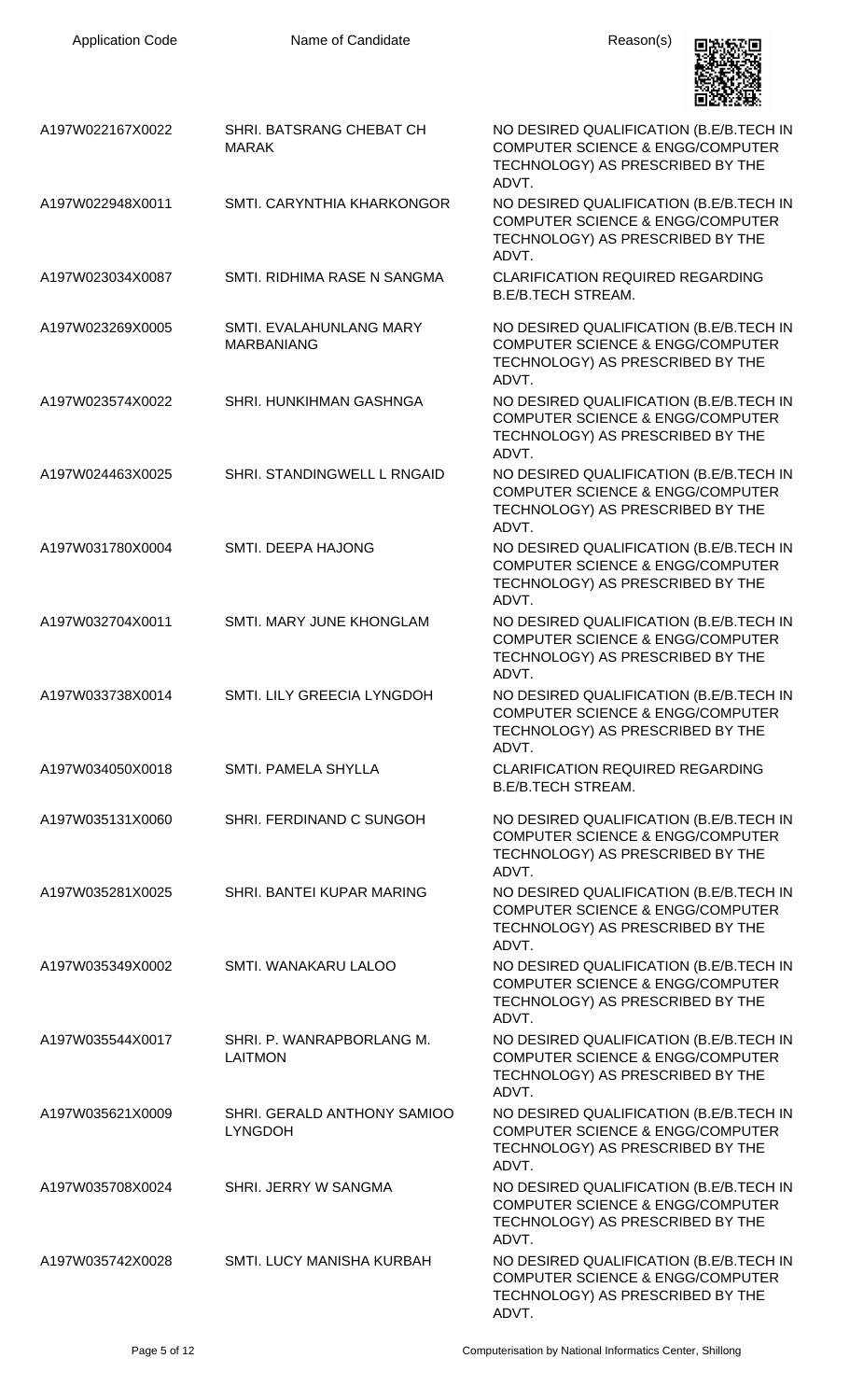| <b>Application Code</b> | Name of Candidate                             | Reason(s)                                                                                                                           |
|-------------------------|-----------------------------------------------|-------------------------------------------------------------------------------------------------------------------------------------|
| A197W022167X0022        | SHRI. BATSRANG CHEBAT CH<br><b>MARAK</b>      | NO DESIRED QUALIFICATION (B.E/B.TECH IN<br><b>COMPUTER SCIENCE &amp; ENGG/COMPUTER</b><br>TECHNOLOGY) AS PRESCRIBED BY THE<br>ADVT. |
| A197W022948X0011        | SMTI. CARYNTHIA KHARKONGOR                    | NO DESIRED QUALIFICATION (B.E/B.TECH IN<br><b>COMPUTER SCIENCE &amp; ENGG/COMPUTER</b><br>TECHNOLOGY) AS PRESCRIBED BY THE<br>ADVT. |
| A197W023034X0087        | SMTI. RIDHIMA RASE N SANGMA                   | <b>CLARIFICATION REQUIRED REGARDING</b><br><b>B.E/B.TECH STREAM.</b>                                                                |
| A197W023269X0005        | SMTI. EVALAHUNLANG MARY<br><b>MARBANIANG</b>  | NO DESIRED QUALIFICATION (B.E/B.TECH IN<br><b>COMPUTER SCIENCE &amp; ENGG/COMPUTER</b><br>TECHNOLOGY) AS PRESCRIBED BY THE<br>ADVT. |
| A197W023574X0022        | SHRI. HUNKIHMAN GASHNGA                       | NO DESIRED QUALIFICATION (B.E/B.TECH IN<br><b>COMPUTER SCIENCE &amp; ENGG/COMPUTER</b><br>TECHNOLOGY) AS PRESCRIBED BY THE<br>ADVT. |
| A197W024463X0025        | SHRI. STANDINGWELL L RNGAID                   | NO DESIRED QUALIFICATION (B.E/B.TECH IN<br><b>COMPUTER SCIENCE &amp; ENGG/COMPUTER</b><br>TECHNOLOGY) AS PRESCRIBED BY THE<br>ADVT. |
| A197W031780X0004        | SMTI. DEEPA HAJONG                            | NO DESIRED QUALIFICATION (B.E/B.TECH IN<br><b>COMPUTER SCIENCE &amp; ENGG/COMPUTER</b><br>TECHNOLOGY) AS PRESCRIBED BY THE<br>ADVT. |
| A197W032704X0011        | SMTI. MARY JUNE KHONGLAM                      | NO DESIRED QUALIFICATION (B.E/B.TECH IN<br><b>COMPUTER SCIENCE &amp; ENGG/COMPUTER</b><br>TECHNOLOGY) AS PRESCRIBED BY THE<br>ADVT. |
| A197W033738X0014        | SMTI. LILY GREECIA LYNGDOH                    | NO DESIRED QUALIFICATION (B.E/B.TECH IN<br><b>COMPUTER SCIENCE &amp; ENGG/COMPUTER</b><br>TECHNOLOGY) AS PRESCRIBED BY THE<br>ADVT. |
| A197W034050X0018        | SMTI. PAMELA SHYLLA                           | <b>CLARIFICATION REQUIRED REGARDING</b><br><b>B.E/B.TECH STREAM.</b>                                                                |
| A197W035131X0060        | SHRI. FERDINAND C SUNGOH                      | NO DESIRED QUALIFICATION (B.E/B.TECH IN<br><b>COMPUTER SCIENCE &amp; ENGG/COMPUTER</b><br>TECHNOLOGY) AS PRESCRIBED BY THE<br>ADVT. |
| A197W035281X0025        | SHRI. BANTEI KUPAR MARING                     | NO DESIRED QUALIFICATION (B.E/B.TECH IN<br><b>COMPUTER SCIENCE &amp; ENGG/COMPUTER</b><br>TECHNOLOGY) AS PRESCRIBED BY THE<br>ADVT. |
| A197W035349X0002        | SMTI. WANAKARU LALOO                          | NO DESIRED QUALIFICATION (B.E/B.TECH IN<br><b>COMPUTER SCIENCE &amp; ENGG/COMPUTER</b><br>TECHNOLOGY) AS PRESCRIBED BY THE<br>ADVT. |
| A197W035544X0017        | SHRI. P. WANRAPBORLANG M.<br><b>LAITMON</b>   | NO DESIRED QUALIFICATION (B.E/B.TECH IN<br><b>COMPUTER SCIENCE &amp; ENGG/COMPUTER</b><br>TECHNOLOGY) AS PRESCRIBED BY THE<br>ADVT. |
| A197W035621X0009        | SHRI. GERALD ANTHONY SAMIOO<br><b>LYNGDOH</b> | NO DESIRED QUALIFICATION (B.E/B.TECH IN<br><b>COMPUTER SCIENCE &amp; ENGG/COMPUTER</b><br>TECHNOLOGY) AS PRESCRIBED BY THE<br>ADVT. |
| A197W035708X0024        | SHRI. JERRY W SANGMA                          | NO DESIRED QUALIFICATION (B.E/B.TECH IN<br><b>COMPUTER SCIENCE &amp; ENGG/COMPUTER</b><br>TECHNOLOGY) AS PRESCRIBED BY THE<br>ADVT. |
| A197W035742X0028        | SMTI. LUCY MANISHA KURBAH                     | NO DESIRED QUALIFICATION (B.E/B.TECH IN<br><b>COMPUTER SCIENCE &amp; ENGG/COMPUTER</b><br>TECHNOLOGY) AS PRESCRIBED BY THE<br>ADVT. |

Application Code **Name of Candidate Name of Candidate** Reason(s)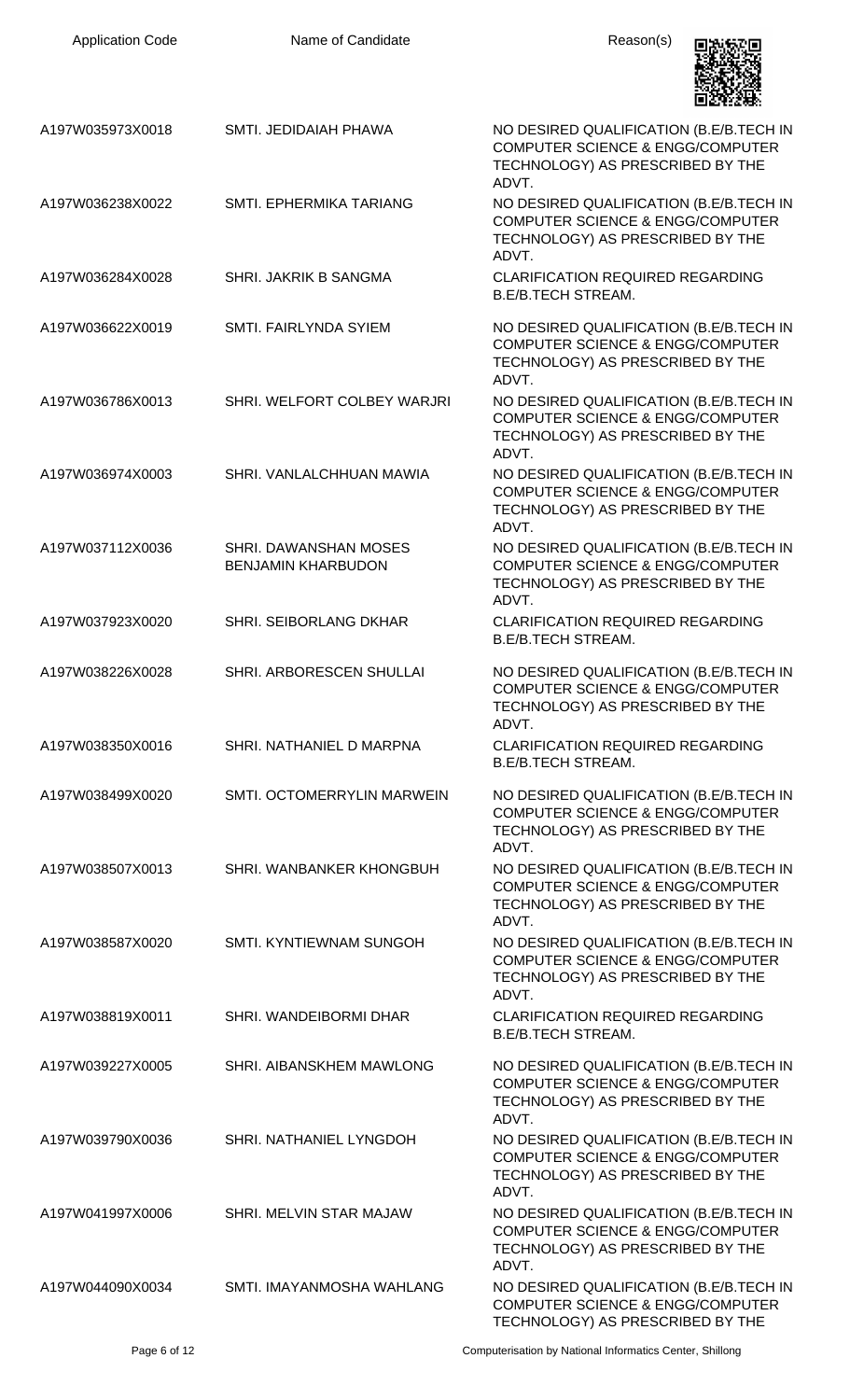| <b>Application Code</b> | Name of Candidate                                  | Reason(s)                                                                                                                           |
|-------------------------|----------------------------------------------------|-------------------------------------------------------------------------------------------------------------------------------------|
| A197W035973X0018        | SMTI. JEDIDAIAH PHAWA                              | NO DESIRED QUALIFICATION (B.E/B.TECH IN<br><b>COMPUTER SCIENCE &amp; ENGG/COMPUTER</b><br>TECHNOLOGY) AS PRESCRIBED BY THE<br>ADVT. |
| A197W036238X0022        | SMTI. EPHERMIKA TARIANG                            | NO DESIRED QUALIFICATION (B.E/B.TECH IN<br><b>COMPUTER SCIENCE &amp; ENGG/COMPUTER</b><br>TECHNOLOGY) AS PRESCRIBED BY THE<br>ADVT. |
| A197W036284X0028        | SHRI. JAKRIK B SANGMA                              | <b>CLARIFICATION REQUIRED REGARDING</b><br><b>B.E/B.TECH STREAM.</b>                                                                |
| A197W036622X0019        | SMTI. FAIRLYNDA SYIEM                              | NO DESIRED QUALIFICATION (B.E/B.TECH IN<br><b>COMPUTER SCIENCE &amp; ENGG/COMPUTER</b><br>TECHNOLOGY) AS PRESCRIBED BY THE<br>ADVT. |
| A197W036786X0013        | SHRI. WELFORT COLBEY WARJRI                        | NO DESIRED QUALIFICATION (B.E/B.TECH IN<br><b>COMPUTER SCIENCE &amp; ENGG/COMPUTER</b><br>TECHNOLOGY) AS PRESCRIBED BY THE<br>ADVT. |
| A197W036974X0003        | SHRI. VANLALCHHUAN MAWIA                           | NO DESIRED QUALIFICATION (B.E/B.TECH IN<br><b>COMPUTER SCIENCE &amp; ENGG/COMPUTER</b><br>TECHNOLOGY) AS PRESCRIBED BY THE<br>ADVT. |
| A197W037112X0036        | SHRI. DAWANSHAN MOSES<br><b>BENJAMIN KHARBUDON</b> | NO DESIRED QUALIFICATION (B.E/B.TECH IN<br><b>COMPUTER SCIENCE &amp; ENGG/COMPUTER</b><br>TECHNOLOGY) AS PRESCRIBED BY THE<br>ADVT. |
| A197W037923X0020        | <b>SHRI. SEIBORLANG DKHAR</b>                      | <b>CLARIFICATION REQUIRED REGARDING</b><br><b>B.E/B.TECH STREAM.</b>                                                                |
| A197W038226X0028        | SHRI. ARBORESCEN SHULLAI                           | NO DESIRED QUALIFICATION (B.E/B.TECH IN<br><b>COMPUTER SCIENCE &amp; ENGG/COMPUTER</b><br>TECHNOLOGY) AS PRESCRIBED BY THE<br>ADVT. |
| A197W038350X0016        | SHRI. NATHANIEL D MARPNA                           | <b>CLARIFICATION REQUIRED REGARDING</b><br><b>B.E/B.TECH STREAM.</b>                                                                |
| A197W038499X0020        | SMTI. OCTOMERRYLIN MARWEIN                         | NO DESIRED QUALIFICATION (B.E/B.TECH IN<br><b>COMPUTER SCIENCE &amp; ENGG/COMPUTER</b><br>TECHNOLOGY) AS PRESCRIBED BY THE<br>ADVT. |
| A197W038507X0013        | SHRI. WANBANKER KHONGBUH                           | NO DESIRED QUALIFICATION (B.E/B.TECH IN<br><b>COMPUTER SCIENCE &amp; ENGG/COMPUTER</b><br>TECHNOLOGY) AS PRESCRIBED BY THE<br>ADVT. |
| A197W038587X0020        | SMTI. KYNTIEWNAM SUNGOH                            | NO DESIRED QUALIFICATION (B.E/B.TECH IN<br><b>COMPUTER SCIENCE &amp; ENGG/COMPUTER</b><br>TECHNOLOGY) AS PRESCRIBED BY THE<br>ADVT. |
| A197W038819X0011        | SHRI. WANDEIBORMI DHAR                             | <b>CLARIFICATION REQUIRED REGARDING</b><br><b>B.E/B.TECH STREAM.</b>                                                                |
| A197W039227X0005        | SHRI. AIBANSKHEM MAWLONG                           | NO DESIRED QUALIFICATION (B.E/B.TECH IN<br><b>COMPUTER SCIENCE &amp; ENGG/COMPUTER</b><br>TECHNOLOGY) AS PRESCRIBED BY THE<br>ADVT. |
| A197W039790X0036        | SHRI. NATHANIEL LYNGDOH                            | NO DESIRED QUALIFICATION (B.E/B.TECH IN<br><b>COMPUTER SCIENCE &amp; ENGG/COMPUTER</b><br>TECHNOLOGY) AS PRESCRIBED BY THE<br>ADVT. |
| A197W041997X0006        | SHRI. MELVIN STAR MAJAW                            | NO DESIRED QUALIFICATION (B.E/B.TECH IN<br><b>COMPUTER SCIENCE &amp; ENGG/COMPUTER</b><br>TECHNOLOGY) AS PRESCRIBED BY THE<br>ADVT. |
| A197W044090X0034        | SMTI. IMAYANMOSHA WAHLANG                          | NO DESIRED QUALIFICATION (B.E/B.TECH IN<br><b>COMPUTER SCIENCE &amp; ENGG/COMPUTER</b><br>TECHNOLOGY) AS PRESCRIBED BY THE          |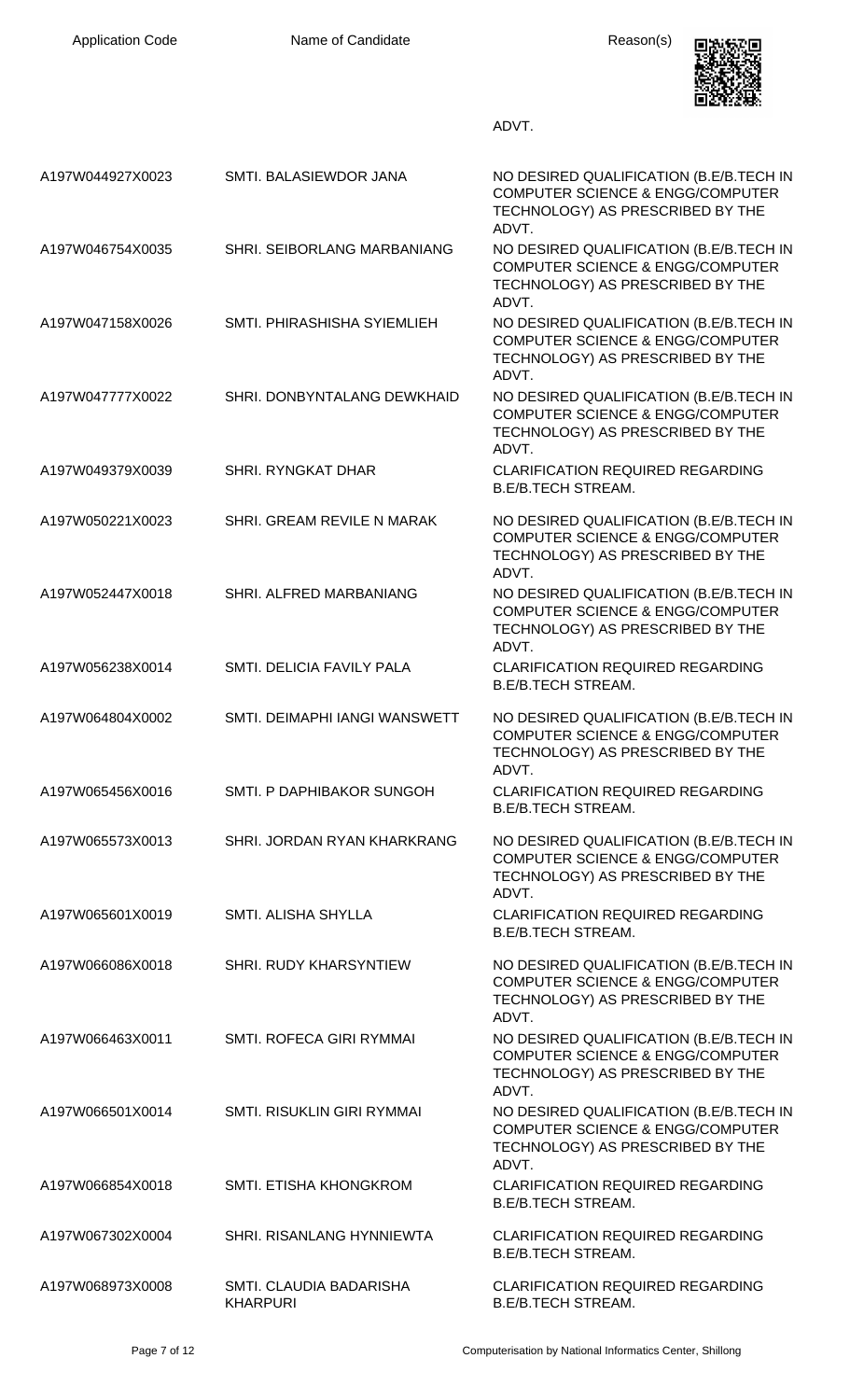| <b>Application Code</b> | Name of Candidate                          | Reason(s)                                                                                                                           |
|-------------------------|--------------------------------------------|-------------------------------------------------------------------------------------------------------------------------------------|
|                         |                                            | ADVT.                                                                                                                               |
| A197W044927X0023        | SMTI. BALASIEWDOR JANA                     | NO DESIRED QUALIFICATION (B.E/B.TECH IN<br><b>COMPUTER SCIENCE &amp; ENGG/COMPUTER</b><br>TECHNOLOGY) AS PRESCRIBED BY THE<br>ADVT. |
| A197W046754X0035        | SHRI. SEIBORLANG MARBANIANG                | NO DESIRED QUALIFICATION (B.E/B.TECH IN<br><b>COMPUTER SCIENCE &amp; ENGG/COMPUTER</b><br>TECHNOLOGY) AS PRESCRIBED BY THE<br>ADVT. |
| A197W047158X0026        | SMTI. PHIRASHISHA SYIEMLIEH                | NO DESIRED QUALIFICATION (B.E/B.TECH IN<br><b>COMPUTER SCIENCE &amp; ENGG/COMPUTER</b><br>TECHNOLOGY) AS PRESCRIBED BY THE<br>ADVT. |
| A197W047777X0022        | SHRI. DONBYNTALANG DEWKHAID                | NO DESIRED QUALIFICATION (B.E/B.TECH IN<br><b>COMPUTER SCIENCE &amp; ENGG/COMPUTER</b><br>TECHNOLOGY) AS PRESCRIBED BY THE<br>ADVT. |
| A197W049379X0039        | <b>SHRI. RYNGKAT DHAR</b>                  | <b>CLARIFICATION REQUIRED REGARDING</b><br><b>B.E/B.TECH STREAM.</b>                                                                |
| A197W050221X0023        | SHRI. GREAM REVILE N MARAK                 | NO DESIRED QUALIFICATION (B.E/B.TECH IN<br><b>COMPUTER SCIENCE &amp; ENGG/COMPUTER</b><br>TECHNOLOGY) AS PRESCRIBED BY THE<br>ADVT. |
| A197W052447X0018        | SHRI. ALFRED MARBANIANG                    | NO DESIRED QUALIFICATION (B.E/B.TECH IN<br><b>COMPUTER SCIENCE &amp; ENGG/COMPUTER</b><br>TECHNOLOGY) AS PRESCRIBED BY THE<br>ADVT. |
| A197W056238X0014        | SMTI. DELICIA FAVILY PALA                  | <b>CLARIFICATION REQUIRED REGARDING</b><br><b>B.E/B.TECH STREAM.</b>                                                                |
| A197W064804X0002        | SMTI. DEIMAPHI IANGI WANSWETT              | NO DESIRED QUALIFICATION (B.E/B.TECH IN<br><b>COMPUTER SCIENCE &amp; ENGG/COMPUTER</b><br>TECHNOLOGY) AS PRESCRIBED BY THE<br>ADVT. |
| A197W065456X0016        | SMTI. P DAPHIBAKOR SUNGOH                  | <b>CLARIFICATION REQUIRED REGARDING</b><br><b>B.E/B.TECH STREAM.</b>                                                                |
| A197W065573X0013        | SHRI. JORDAN RYAN KHARKRANG                | NO DESIRED QUALIFICATION (B.E/B.TECH IN<br><b>COMPUTER SCIENCE &amp; ENGG/COMPUTER</b><br>TECHNOLOGY) AS PRESCRIBED BY THE<br>ADVT. |
| A197W065601X0019        | SMTI. ALISHA SHYLLA                        | <b>CLARIFICATION REQUIRED REGARDING</b><br><b>B.E/B.TECH STREAM.</b>                                                                |
| A197W066086X0018        | <b>SHRI. RUDY KHARSYNTIEW</b>              | NO DESIRED QUALIFICATION (B.E/B.TECH IN<br><b>COMPUTER SCIENCE &amp; ENGG/COMPUTER</b><br>TECHNOLOGY) AS PRESCRIBED BY THE<br>ADVT. |
| A197W066463X0011        | SMTI. ROFECA GIRI RYMMAI                   | NO DESIRED QUALIFICATION (B.E/B.TECH IN<br><b>COMPUTER SCIENCE &amp; ENGG/COMPUTER</b><br>TECHNOLOGY) AS PRESCRIBED BY THE<br>ADVT. |
| A197W066501X0014        | SMTI. RISUKLIN GIRI RYMMAI                 | NO DESIRED QUALIFICATION (B.E/B.TECH IN<br><b>COMPUTER SCIENCE &amp; ENGG/COMPUTER</b><br>TECHNOLOGY) AS PRESCRIBED BY THE<br>ADVT. |
| A197W066854X0018        | SMTI. ETISHA KHONGKROM                     | <b>CLARIFICATION REQUIRED REGARDING</b><br><b>B.E/B.TECH STREAM.</b>                                                                |
| A197W067302X0004        | SHRI. RISANLANG HYNNIEWTA                  | <b>CLARIFICATION REQUIRED REGARDING</b><br><b>B.E/B.TECH STREAM.</b>                                                                |
| A197W068973X0008        | SMTI. CLAUDIA BADARISHA<br><b>KHARPURI</b> | <b>CLARIFICATION REQUIRED REGARDING</b><br><b>B.E/B.TECH STREAM.</b>                                                                |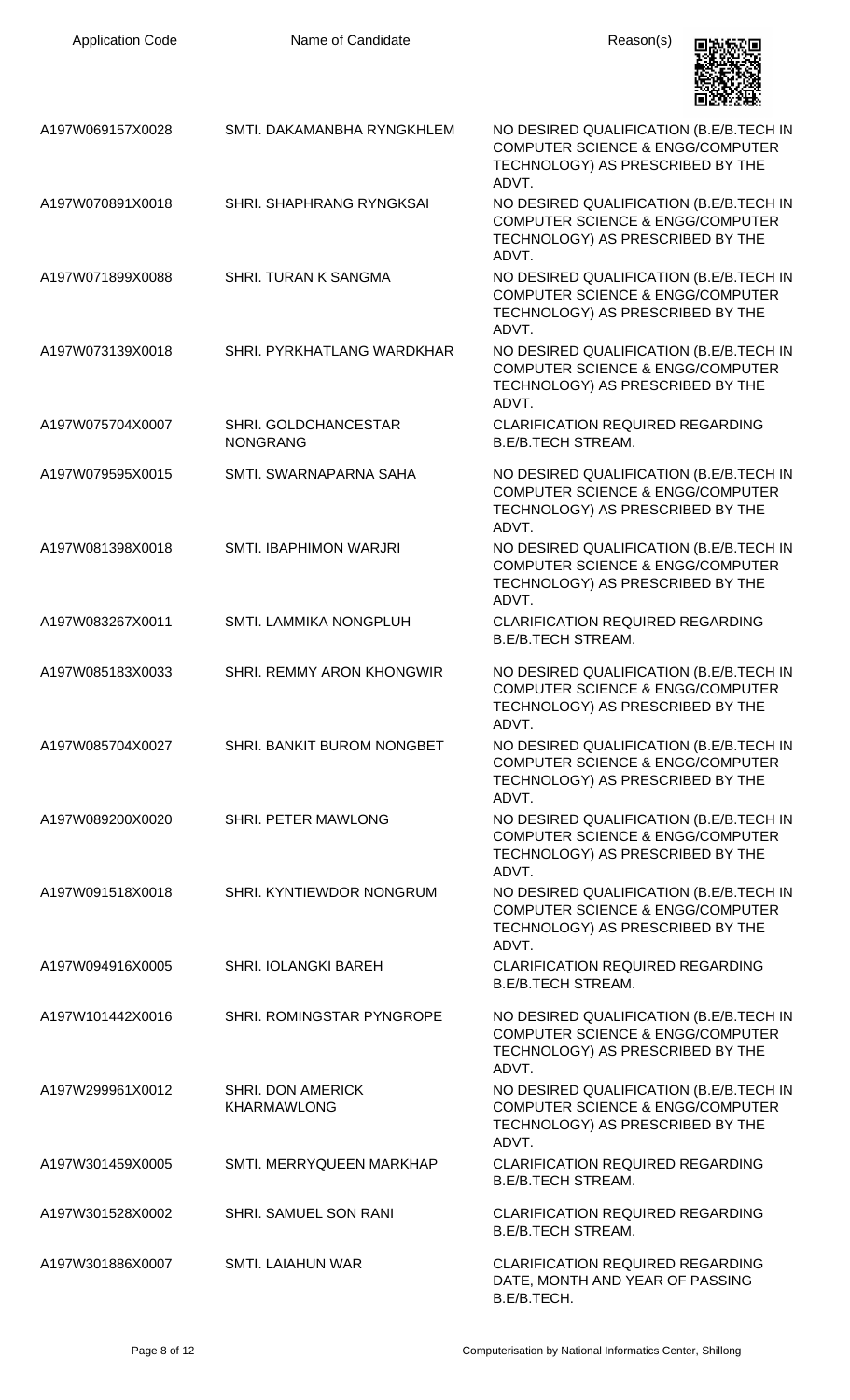| <b>Application Code</b> | Name of Candidate                              | Reason(s)                                                                                                                           |
|-------------------------|------------------------------------------------|-------------------------------------------------------------------------------------------------------------------------------------|
| A197W069157X0028        | SMTI. DAKAMANBHA RYNGKHLEM                     | NO DESIRED QUALIFICATION (B.E/B.TECH IN<br><b>COMPUTER SCIENCE &amp; ENGG/COMPUTER</b><br>TECHNOLOGY) AS PRESCRIBED BY THE<br>ADVT  |
| A197W070891X0018        | SHRI. SHAPHRANG RYNGKSAI                       | NO DESIRED QUALIFICATION (B.E/B.TECH IN<br><b>COMPUTER SCIENCE &amp; ENGG/COMPUTER</b><br>TECHNOLOGY) AS PRESCRIBED BY THE<br>ADVT. |
| A197W071899X0088        | SHRI. TURAN K SANGMA                           | NO DESIRED QUALIFICATION (B.E/B.TECH IN<br><b>COMPUTER SCIENCE &amp; ENGG/COMPUTER</b><br>TECHNOLOGY) AS PRESCRIBED BY THE<br>ADVT. |
| A197W073139X0018        | SHRI. PYRKHATLANG WARDKHAR                     | NO DESIRED QUALIFICATION (B.E/B.TECH IN<br><b>COMPUTER SCIENCE &amp; ENGG/COMPUTER</b><br>TECHNOLOGY) AS PRESCRIBED BY THE<br>ADVT. |
| A197W075704X0007        | SHRI. GOLDCHANCESTAR<br><b>NONGRANG</b>        | <b>CLARIFICATION REQUIRED REGARDING</b><br><b>B.E/B.TECH STREAM.</b>                                                                |
| A197W079595X0015        | SMTI. SWARNAPARNA SAHA                         | NO DESIRED QUALIFICATION (B.E/B.TECH IN<br><b>COMPUTER SCIENCE &amp; ENGG/COMPUTER</b><br>TECHNOLOGY) AS PRESCRIBED BY THE<br>ADVT. |
| A197W081398X0018        | SMTI. IBAPHIMON WARJRI                         | NO DESIRED QUALIFICATION (B.E/B.TECH IN<br><b>COMPUTER SCIENCE &amp; ENGG/COMPUTER</b><br>TECHNOLOGY) AS PRESCRIBED BY THE<br>ADVT. |
| A197W083267X0011        | SMTI. LAMMIKA NONGPLUH                         | <b>CLARIFICATION REQUIRED REGARDING</b><br><b>B.E/B.TECH STREAM.</b>                                                                |
| A197W085183X0033        | <b>SHRI. REMMY ARON KHONGWIR</b>               | NO DESIRED QUALIFICATION (B.E/B.TECH IN<br><b>COMPUTER SCIENCE &amp; ENGG/COMPUTER</b><br>TECHNOLOGY) AS PRESCRIBED BY THE<br>ADVT  |
| A197W085704X0027        | SHRI. BANKIT BUROM NONGBET                     | NO DESIRED QUALIFICATION (B.E/B.TECH IN<br><b>COMPUTER SCIENCE &amp; ENGG/COMPUTER</b><br>TECHNOLOGY) AS PRESCRIBED BY THE<br>ADVT. |
| A197W089200X0020        | SHRI. PETER MAWLONG                            | NO DESIRED QUALIFICATION (B.E/B.TECH IN<br><b>COMPUTER SCIENCE &amp; ENGG/COMPUTER</b><br>TECHNOLOGY) AS PRESCRIBED BY THE<br>ADVT. |
| A197W091518X0018        | SHRI. KYNTIEWDOR NONGRUM                       | NO DESIRED QUALIFICATION (B.E/B.TECH IN<br><b>COMPUTER SCIENCE &amp; ENGG/COMPUTER</b><br>TECHNOLOGY) AS PRESCRIBED BY THE<br>ADVT. |
| A197W094916X0005        | <b>SHRI. IOLANGKI BAREH</b>                    | <b>CLARIFICATION REQUIRED REGARDING</b><br><b>B.E/B.TECH STREAM.</b>                                                                |
| A197W101442X0016        | SHRI. ROMINGSTAR PYNGROPE                      | NO DESIRED QUALIFICATION (B.E/B.TECH IN<br><b>COMPUTER SCIENCE &amp; ENGG/COMPUTER</b><br>TECHNOLOGY) AS PRESCRIBED BY THE<br>ADVT. |
| A197W299961X0012        | <b>SHRI. DON AMERICK</b><br><b>KHARMAWLONG</b> | NO DESIRED QUALIFICATION (B.E/B.TECH IN<br><b>COMPUTER SCIENCE &amp; ENGG/COMPUTER</b><br>TECHNOLOGY) AS PRESCRIBED BY THE<br>ADVT. |
| A197W301459X0005        | SMTI. MERRYQUEEN MARKHAP                       | <b>CLARIFICATION REQUIRED REGARDING</b><br><b>B.E/B.TECH STREAM.</b>                                                                |
| A197W301528X0002        | SHRI. SAMUEL SON RANI                          | <b>CLARIFICATION REQUIRED REGARDING</b><br><b>B.E/B.TECH STREAM.</b>                                                                |
| A197W301886X0007        | <b>SMTI. LAIAHUN WAR</b>                       | <b>CLARIFICATION REQUIRED REGARDING</b><br>DATE, MONTH AND YEAR OF PASSING<br>B.E/B.TECH.                                           |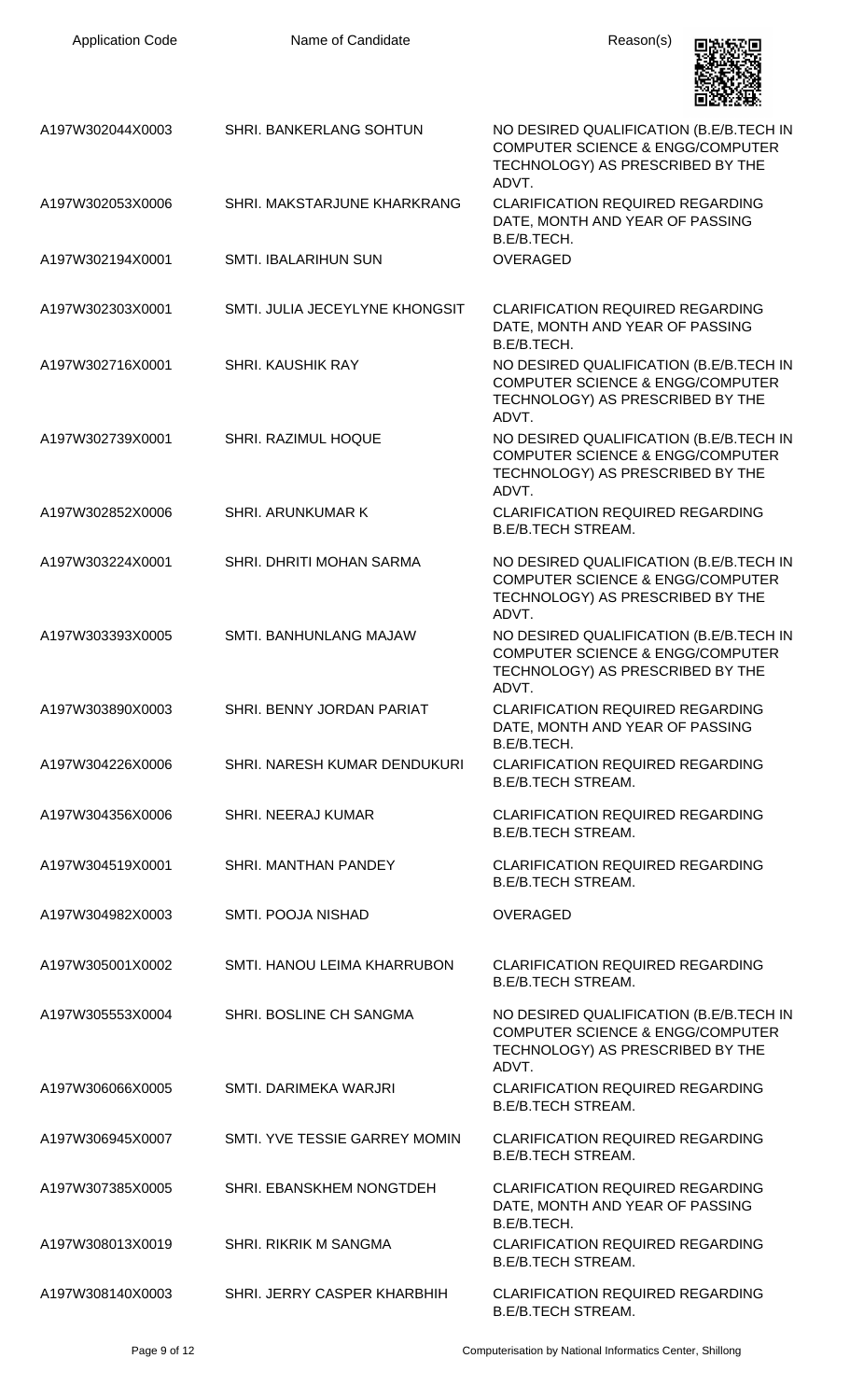| <b>Application Code</b> | Name of Candidate              | Reason(s)                                                                                                                           |
|-------------------------|--------------------------------|-------------------------------------------------------------------------------------------------------------------------------------|
| A197W302044X0003        | SHRI. BANKERLANG SOHTUN        | NO DESIRED QUALIFICATION (B.E/B.TECH IN<br><b>COMPUTER SCIENCE &amp; ENGG/COMPUTER</b><br>TECHNOLOGY) AS PRESCRIBED BY THE<br>ADVT. |
| A197W302053X0006        | SHRI. MAKSTARJUNE KHARKRANG    | <b>CLARIFICATION REQUIRED REGARDING</b><br>DATE, MONTH AND YEAR OF PASSING<br>B.E/B.TECH.                                           |
| A197W302194X0001        | SMTI. IBALARIHUN SUN           | <b>OVERAGED</b>                                                                                                                     |
| A197W302303X0001        | SMTI. JULIA JECEYLYNE KHONGSIT | <b>CLARIFICATION REQUIRED REGARDING</b><br>DATE, MONTH AND YEAR OF PASSING<br>B.E/B.TECH.                                           |
| A197W302716X0001        | <b>SHRI, KAUSHIK RAY</b>       | NO DESIRED QUALIFICATION (B.E/B.TECH IN<br><b>COMPUTER SCIENCE &amp; ENGG/COMPUTER</b><br>TECHNOLOGY) AS PRESCRIBED BY THE<br>ADVT. |
| A197W302739X0001        | SHRI. RAZIMUL HOQUE            | NO DESIRED QUALIFICATION (B.E/B.TECH IN<br><b>COMPUTER SCIENCE &amp; ENGG/COMPUTER</b><br>TECHNOLOGY) AS PRESCRIBED BY THE<br>ADVT. |
| A197W302852X0006        | SHRI. ARUNKUMAR K              | <b>CLARIFICATION REQUIRED REGARDING</b><br><b>B.E/B.TECH STREAM.</b>                                                                |
| A197W303224X0001        | SHRI. DHRITI MOHAN SARMA       | NO DESIRED QUALIFICATION (B.E/B.TECH IN<br><b>COMPUTER SCIENCE &amp; ENGG/COMPUTER</b><br>TECHNOLOGY) AS PRESCRIBED BY THE<br>ADVT. |
| A197W303393X0005        | <b>SMTI. BANHUNLANG MAJAW</b>  | NO DESIRED QUALIFICATION (B.E/B.TECH IN<br><b>COMPUTER SCIENCE &amp; ENGG/COMPUTER</b><br>TECHNOLOGY) AS PRESCRIBED BY THE<br>ADVT. |
| A197W303890X0003        | SHRI. BENNY JORDAN PARIAT      | <b>CLARIFICATION REQUIRED REGARDING</b><br>DATE, MONTH AND YEAR OF PASSING<br>B.E/B.TECH.                                           |
| A197W304226X0006        | SHRI. NARESH KUMAR DENDUKURI   | <b>CLARIFICATION REQUIRED REGARDING</b><br><b>B.E/B.TECH STREAM.</b>                                                                |
| A197W304356X0006        | <b>SHRI. NEERAJ KUMAR</b>      | <b>CLARIFICATION REQUIRED REGARDING</b><br><b>B.E/B.TECH STREAM.</b>                                                                |
| A197W304519X0001        | SHRI. MANTHAN PANDEY           | <b>CLARIFICATION REQUIRED REGARDING</b><br><b>B.E/B.TECH STREAM.</b>                                                                |
| A197W304982X0003        | SMTI. POOJA NISHAD             | <b>OVERAGED</b>                                                                                                                     |
| A197W305001X0002        | SMTI. HANOU LEIMA KHARRUBON    | <b>CLARIFICATION REQUIRED REGARDING</b><br><b>B.E/B.TECH STREAM.</b>                                                                |
| A197W305553X0004        | SHRI. BOSLINE CH SANGMA        | NO DESIRED QUALIFICATION (B.E/B.TECH IN<br><b>COMPUTER SCIENCE &amp; ENGG/COMPUTER</b><br>TECHNOLOGY) AS PRESCRIBED BY THE<br>ADVT. |
| A197W306066X0005        | SMTI. DARIMEKA WARJRI          | <b>CLARIFICATION REQUIRED REGARDING</b><br><b>B.E/B.TECH STREAM.</b>                                                                |
| A197W306945X0007        | SMTI. YVE TESSIE GARREY MOMIN  | <b>CLARIFICATION REQUIRED REGARDING</b><br><b>B.E/B.TECH STREAM.</b>                                                                |
| A197W307385X0005        | SHRI. EBANSKHEM NONGTDEH       | <b>CLARIFICATION REQUIRED REGARDING</b><br>DATE, MONTH AND YEAR OF PASSING<br>B.E/B.TECH.                                           |
| A197W308013X0019        | <b>SHRI. RIKRIK M SANGMA</b>   | <b>CLARIFICATION REQUIRED REGARDING</b><br><b>B.E/B.TECH STREAM.</b>                                                                |
| A197W308140X0003        | SHRI. JERRY CASPER KHARBHIH    | <b>CLARIFICATION REQUIRED REGARDING</b><br><b>B.E/B.TECH STREAM.</b>                                                                |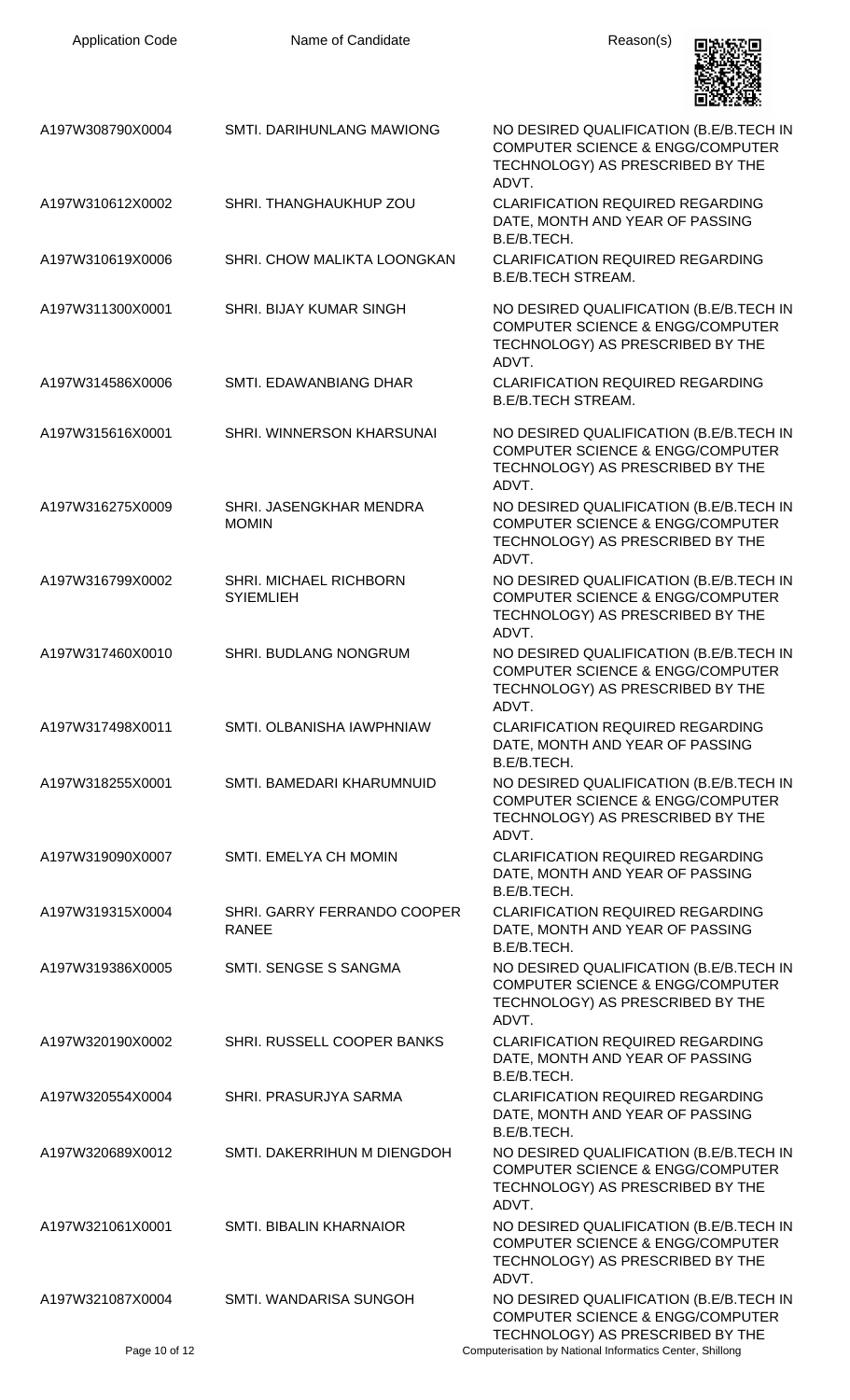| <b>Application Code</b> | Name of Candidate                           | Reason(s)                                                                                                                           |
|-------------------------|---------------------------------------------|-------------------------------------------------------------------------------------------------------------------------------------|
| A197W308790X0004        | SMTI. DARIHUNLANG MAWIONG                   | NO DESIRED QUALIFICATION (B.E/B.TECH IN<br><b>COMPUTER SCIENCE &amp; ENGG/COMPUTER</b><br>TECHNOLOGY) AS PRESCRIBED BY THE<br>ADVT. |
| A197W310612X0002        | SHRI. THANGHAUKHUP ZOU                      | <b>CLARIFICATION REQUIRED REGARDING</b><br>DATE, MONTH AND YEAR OF PASSING<br>B.E/B.TECH.                                           |
| A197W310619X0006        | SHRI. CHOW MALIKTA LOONGKAN                 | <b>CLARIFICATION REQUIRED REGARDING</b><br><b>B.E/B.TECH STREAM.</b>                                                                |
| A197W311300X0001        | <b>SHRI. BIJAY KUMAR SINGH</b>              | NO DESIRED QUALIFICATION (B.E/B.TECH IN<br><b>COMPUTER SCIENCE &amp; ENGG/COMPUTER</b><br>TECHNOLOGY) AS PRESCRIBED BY THE<br>ADVT. |
| A197W314586X0006        | SMTI. EDAWANBIANG DHAR                      | <b>CLARIFICATION REQUIRED REGARDING</b><br><b>B.E/B.TECH STREAM.</b>                                                                |
| A197W315616X0001        | SHRI. WINNERSON KHARSUNAI                   | NO DESIRED QUALIFICATION (B.E/B.TECH IN<br><b>COMPUTER SCIENCE &amp; ENGG/COMPUTER</b><br>TECHNOLOGY) AS PRESCRIBED BY THE<br>ADVT. |
| A197W316275X0009        | SHRI. JASENGKHAR MENDRA<br><b>MOMIN</b>     | NO DESIRED QUALIFICATION (B.E/B.TECH IN<br><b>COMPUTER SCIENCE &amp; ENGG/COMPUTER</b><br>TECHNOLOGY) AS PRESCRIBED BY THE<br>ADVT. |
| A197W316799X0002        | SHRI. MICHAEL RICHBORN<br><b>SYIEMLIEH</b>  | NO DESIRED QUALIFICATION (B.E/B.TECH IN<br><b>COMPUTER SCIENCE &amp; ENGG/COMPUTER</b><br>TECHNOLOGY) AS PRESCRIBED BY THE<br>ADVT. |
| A197W317460X0010        | SHRI. BUDLANG NONGRUM                       | NO DESIRED QUALIFICATION (B.E/B.TECH IN<br><b>COMPUTER SCIENCE &amp; ENGG/COMPUTER</b><br>TECHNOLOGY) AS PRESCRIBED BY THE<br>ADVT. |
| A197W317498X0011        | SMTI. OLBANISHA IAWPHNIAW                   | CLARIFICATION REQUIRED REGARDING<br>DATE, MONTH AND YEAR OF PASSING<br>B.E/B.TECH.                                                  |
| A197W318255X0001        | SMTI. BAMEDARI KHARUMNUID                   | NO DESIRED QUALIFICATION (B.E/B.TECH IN<br><b>COMPUTER SCIENCE &amp; ENGG/COMPUTER</b><br>TECHNOLOGY) AS PRESCRIBED BY THE<br>ADVT. |
| A197W319090X0007        | SMTI. EMELYA CH MOMIN                       | <b>CLARIFICATION REQUIRED REGARDING</b><br>DATE, MONTH AND YEAR OF PASSING<br>B.E/B.TECH.                                           |
| A197W319315X0004        | SHRI. GARRY FERRANDO COOPER<br><b>RANEE</b> | <b>CLARIFICATION REQUIRED REGARDING</b><br>DATE, MONTH AND YEAR OF PASSING<br>B.E/B.TECH.                                           |
| A197W319386X0005        | SMTI. SENGSE S SANGMA                       | NO DESIRED QUALIFICATION (B.E/B.TECH IN<br><b>COMPUTER SCIENCE &amp; ENGG/COMPUTER</b><br>TECHNOLOGY) AS PRESCRIBED BY THE<br>ADVT. |
| A197W320190X0002        | SHRI. RUSSELL COOPER BANKS                  | <b>CLARIFICATION REQUIRED REGARDING</b><br>DATE, MONTH AND YEAR OF PASSING<br>B.E/B.TECH.                                           |
| A197W320554X0004        | SHRI. PRASURJYA SARMA                       | <b>CLARIFICATION REQUIRED REGARDING</b><br>DATE, MONTH AND YEAR OF PASSING<br>B.E/B.TECH.                                           |
| A197W320689X0012        | SMTI. DAKERRIHUN M DIENGDOH                 | NO DESIRED QUALIFICATION (B.E/B.TECH IN<br><b>COMPUTER SCIENCE &amp; ENGG/COMPUTER</b><br>TECHNOLOGY) AS PRESCRIBED BY THE<br>ADVT. |
| A197W321061X0001        | <b>SMTI. BIBALIN KHARNAIOR</b>              | NO DESIRED QUALIFICATION (B.E/B.TECH IN<br><b>COMPUTER SCIENCE &amp; ENGG/COMPUTER</b><br>TECHNOLOGY) AS PRESCRIBED BY THE<br>ADVT. |
| A197W321087X0004        | SMTI. WANDARISA SUNGOH                      | NO DESIRED QUALIFICATION (B.E/B.TECH IN<br><b>COMPUTER SCIENCE &amp; ENGG/COMPUTER</b><br>TECHNOLOGY) AS PRESCRIBED BY THE          |
| Page 10 of 12           |                                             | Computerisation by National Informatics Center, Shillong                                                                            |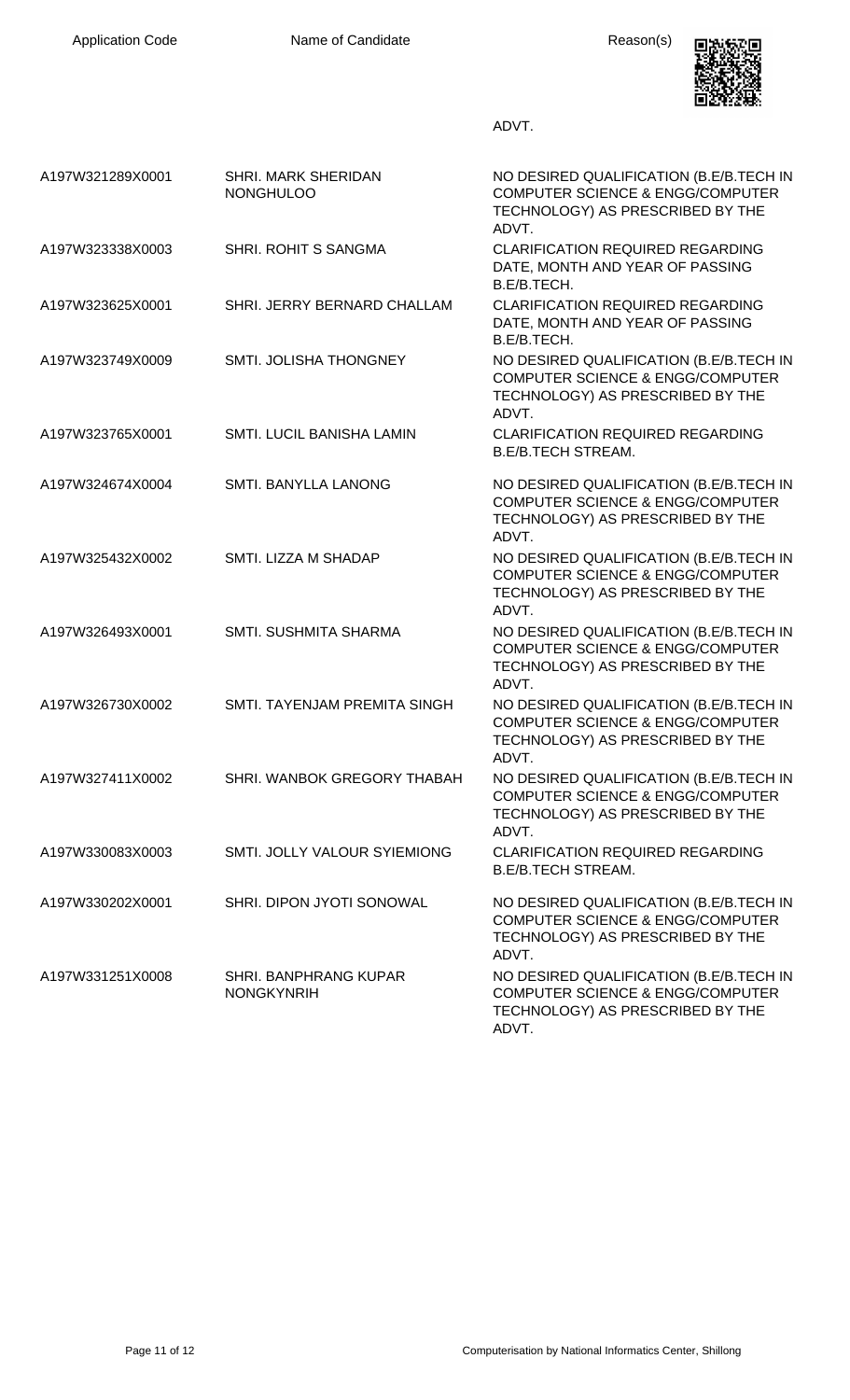

ADVT.

| A197W321289X0001 | <b>SHRI. MARK SHERIDAN</b><br><b>NONGHULOO</b> | NO DESIRED QUALIFICATION (B.E/B.TECH IN<br><b>COMPUTER SCIENCE &amp; ENGG/COMPUTER</b><br>TECHNOLOGY) AS PRESCRIBED BY THE<br>ADVT. |
|------------------|------------------------------------------------|-------------------------------------------------------------------------------------------------------------------------------------|
| A197W323338X0003 | SHRI. ROHIT S SANGMA                           | <b>CLARIFICATION REQUIRED REGARDING</b><br>DATE, MONTH AND YEAR OF PASSING<br>B.E/B.TECH.                                           |
| A197W323625X0001 | SHRI. JERRY BERNARD CHALLAM                    | <b>CLARIFICATION REQUIRED REGARDING</b><br>DATE, MONTH AND YEAR OF PASSING<br>B.E/B.TECH.                                           |
| A197W323749X0009 | SMTI. JOLISHA THONGNEY                         | NO DESIRED QUALIFICATION (B.E/B.TECH IN<br><b>COMPUTER SCIENCE &amp; ENGG/COMPUTER</b><br>TECHNOLOGY) AS PRESCRIBED BY THE<br>ADVT. |
| A197W323765X0001 | SMTI. LUCIL BANISHA LAMIN                      | <b>CLARIFICATION REQUIRED REGARDING</b><br><b>B.E/B.TECH STREAM.</b>                                                                |
| A197W324674X0004 | SMTI. BANYLLA LANONG                           | NO DESIRED QUALIFICATION (B.E/B.TECH IN<br><b>COMPUTER SCIENCE &amp; ENGG/COMPUTER</b><br>TECHNOLOGY) AS PRESCRIBED BY THE<br>ADVT. |
| A197W325432X0002 | SMTI. LIZZA M SHADAP                           | NO DESIRED QUALIFICATION (B.E/B.TECH IN<br><b>COMPUTER SCIENCE &amp; ENGG/COMPUTER</b><br>TECHNOLOGY) AS PRESCRIBED BY THE<br>ADVT. |
| A197W326493X0001 | SMTI. SUSHMITA SHARMA                          | NO DESIRED QUALIFICATION (B.E/B.TECH IN<br><b>COMPUTER SCIENCE &amp; ENGG/COMPUTER</b><br>TECHNOLOGY) AS PRESCRIBED BY THE<br>ADVT. |
| A197W326730X0002 | SMTI. TAYENJAM PREMITA SINGH                   | NO DESIRED QUALIFICATION (B.E/B.TECH IN<br><b>COMPUTER SCIENCE &amp; ENGG/COMPUTER</b><br>TECHNOLOGY) AS PRESCRIBED BY THE<br>ADVT. |
| A197W327411X0002 | SHRI. WANBOK GREGORY THABAH                    | NO DESIRED QUALIFICATION (B.E/B.TECH IN<br><b>COMPUTER SCIENCE &amp; ENGG/COMPUTER</b><br>TECHNOLOGY) AS PRESCRIBED BY THE<br>ADVT. |
| A197W330083X0003 | SMTI. JOLLY VALOUR SYIEMIONG                   | <b>CLARIFICATION REQUIRED REGARDING</b><br><b>B.E/B.TECH STREAM.</b>                                                                |
| A197W330202X0001 | SHRI. DIPON JYOTI SONOWAL                      | NO DESIRED QUALIFICATION (B.E/B.TECH IN<br><b>COMPUTER SCIENCE &amp; ENGG/COMPUTER</b><br>TECHNOLOGY) AS PRESCRIBED BY THE<br>ADVT. |
| A197W331251X0008 | SHRI. BANPHRANG KUPAR<br><b>NONGKYNRIH</b>     | NO DESIRED QUALIFICATION (B.E/B.TECH IN<br><b>COMPUTER SCIENCE &amp; ENGG/COMPUTER</b><br>TECHNOLOGY) AS PRESCRIBED BY THE<br>ADVT. |